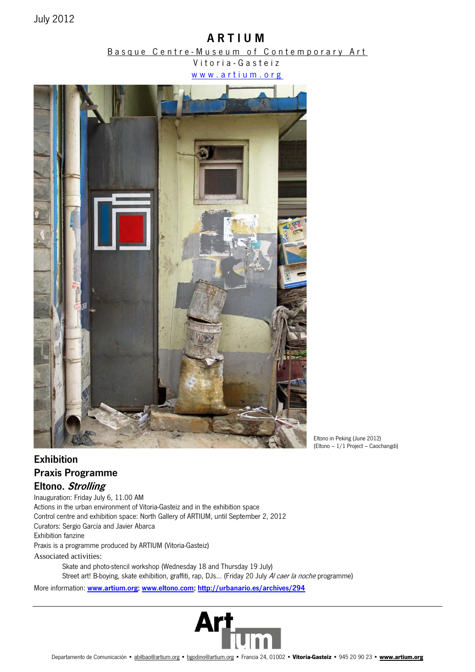# A R T I U M

# Basque Centre-Museum of Contemporary Art

Vitoria - Gasteiz www.artium.org



Eltono in Peking (June 2012) (Eltono – 1/1 Project – Caochangdi)

# Exhibition Praxis Programme Eltono. Strolling

Inauguration: Friday July 6, 11.00 AM Actions in the urban environment of Vitoria-Gasteiz and in the exhibition space Control centre and exhibition space: North Gallery of ARTIUM, until September 2, 2012 Curators: Sergio García and Javier Abarca Exhibition fanzine Praxis is a programme produced by ARTIUM (Vitoria-Gasteiz) Associated activities:

> Skate and photo-stencil workshop (Wednesday 18 and Thursday 19 July) Street art! B-boying, skate exhibition, graffiti, rap, DJs... (Friday 20 July Al caer la noche programme)

More information: [www.artium.org;](http://www.artium.org/) [www.eltono.com;](http://www.eltono.com/)<http://urbanario.es/archives/294>

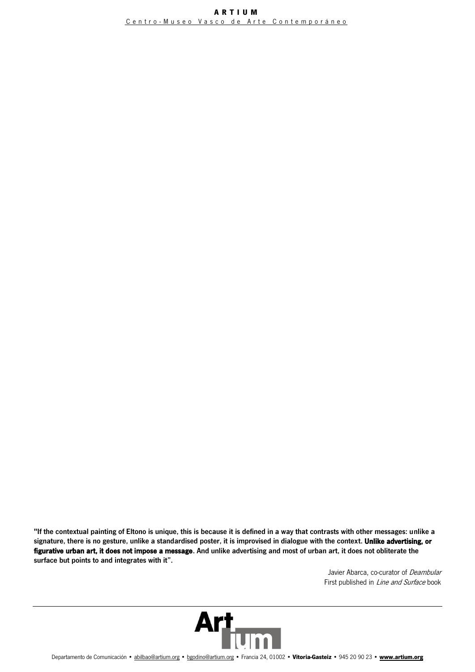"If the contextual painting of Eltono is unique, this is because it is defined in a way that contrasts with other messages: unlike a signature, there is no gesture, unlike a standardised poster, it is improvised in dialogue with the context. Unlike advertising, or figurative urban art, it does not impose a message. And unlike advertising and most of urban art, it does not obliterate the surface but points to and integrates with it".

> Javier Abarca, co-curator of Deambular First published in *Line and Surface* book

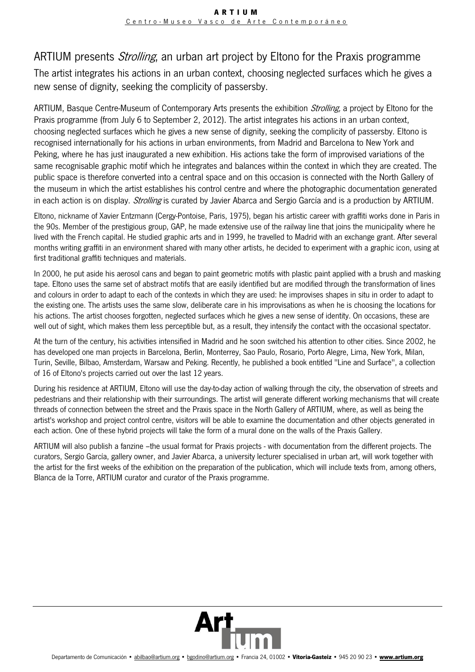# ARTIUM presents *Strolling*, an urban art project by Eltono for the Praxis programme

The artist integrates his actions in an urban context, choosing neglected surfaces which he gives a new sense of dignity, seeking the complicity of passersby.

ARTIUM, Basque Centre-Museum of Contemporary Arts presents the exhibition *Strolling*, a project by Eltono for the Praxis programme (from July 6 to September 2, 2012). The artist integrates his actions in an urban context, choosing neglected surfaces which he gives a new sense of dignity, seeking the complicity of passersby. Eltono is recognised internationally for his actions in urban environments, from Madrid and Barcelona to New York and Peking, where he has just inaugurated a new exhibition. His actions take the form of improvised variations of the same recognisable graphic motif which he integrates and balances within the context in which they are created. The public space is therefore converted into a central space and on this occasion is connected with the North Gallery of the museum in which the artist establishes his control centre and where the photographic documentation generated in each action is on display. Strolling is curated by Javier Abarca and Sergio García and is a production by ARTIUM.

Eltono, nickname of Xavier Entzmann (Cergy-Pontoise, Paris, 1975), began his artistic career with graffiti works done in Paris in the 90s. Member of the prestigious group, GAP, he made extensive use of the railway line that joins the municipality where he lived with the French capital. He studied graphic arts and in 1999, he travelled to Madrid with an exchange grant. After several months writing graffiti in an environment shared with many other artists, he decided to experiment with a graphic icon, using at first traditional graffiti techniques and materials.

In 2000, he put aside his aerosol cans and began to paint geometric motifs with plastic paint applied with a brush and masking tape. Eltono uses the same set of abstract motifs that are easily identified but are modified through the transformation of lines and colours in order to adapt to each of the contexts in which they are used: he improvises shapes in situ in order to adapt to the existing one. The artists uses the same slow, deliberate care in his improvisations as when he is choosing the locations for his actions. The artist chooses forgotten, neglected surfaces which he gives a new sense of identity. On occasions, these are well out of sight, which makes them less perceptible but, as a result, they intensify the contact with the occasional spectator.

At the turn of the century, his activities intensified in Madrid and he soon switched his attention to other cities. Since 2002, he has developed one man projects in Barcelona, Berlin, Monterrey, Sao Paulo, Rosario, Porto Alegre, Lima, New York, Milan, Turin, Seville, Bilbao, Amsterdam, Warsaw and Peking. Recently, he published a book entitled "Line and Surface", a collection of 16 of Eltono's projects carried out over the last 12 years.

During his residence at ARTIUM, Eltono will use the day-to-day action of walking through the city, the observation of streets and pedestrians and their relationship with their surroundings. The artist will generate different working mechanisms that will create threads of connection between the street and the Praxis space in the North Gallery of ARTIUM, where, as well as being the artist's workshop and project control centre, visitors will be able to examine the documentation and other objects generated in each action. One of these hybrid projects will take the form of a mural done on the walls of the Praxis Gallery.

ARTIUM will also publish a fanzine –the usual format for Praxis projects - with documentation from the different projects. The curators, Sergio García, gallery owner, and Javier Abarca, a university lecturer specialised in urban art, will work together with the artist for the first weeks of the exhibition on the preparation of the publication, which will include texts from, among others, Blanca de la Torre, ARTIUM curator and curator of the Praxis programme.